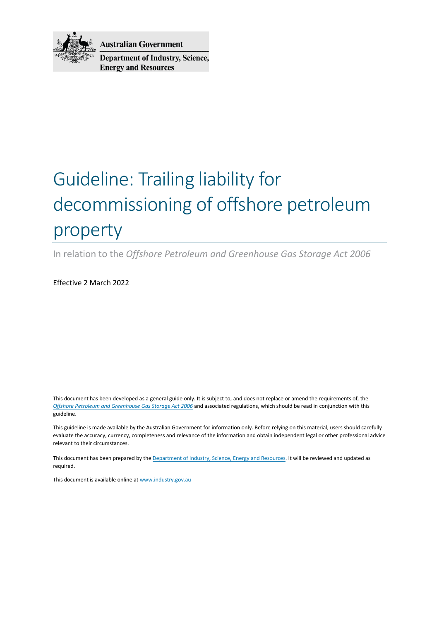

**Australian Government Department of Industry, Science, Energy and Resources** 

# Guideline: Trailing liability for decommissioning of offshore petroleum property

In relation to the *Offshore Petroleum and Greenhouse Gas Storage Act 2006*

Effective 2 March 2022

This document has been developed as a general guide only. It is subject to, and does not replace or amend the requirements of, the *[Offshore Petroleum and Greenhouse Gas Storage Act 2006](https://www.legislation.gov.au/Series/C2006A00014)* and associated regulations, which should be read in conjunction with this guideline.

This guideline is made available by the Australian Government for information only. Before relying on this material, users should carefully evaluate the accuracy, currency, completeness and relevance of the information and obtain independent legal or other professional advice relevant to their circumstances.

This document has been prepared by th[e Department of Industry, Science, Energy and Resources.](http://www.industry.gov.au/Pages/default.aspx) It will be reviewed and updated as required.

This document is available online at www.industry.gov.au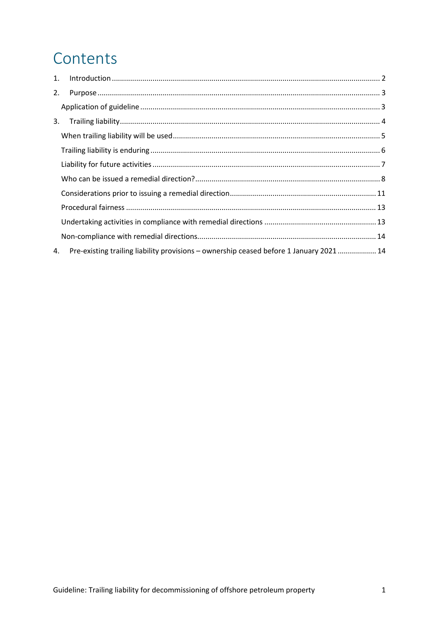# Contents

| Pre-existing trailing liability provisions - ownership ceased before 1 January 2021  14 |
|-----------------------------------------------------------------------------------------|
|                                                                                         |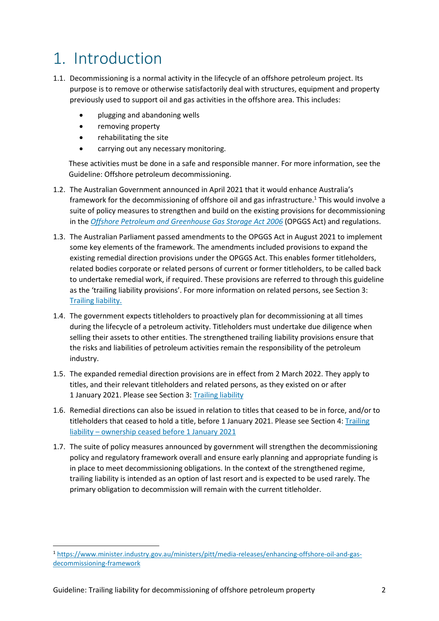# 1. Introduction

- 1.1. Decommissioning is a normal activity in the lifecycle of an offshore petroleum project. Its purpose is to remove or otherwise satisfactorily deal with structures, equipment and property previously used to support oil and gas activities in the offshore area. This includes:
	- plugging and abandoning wells
	- removing property
	- rehabilitating the site
	- carrying out any necessary monitoring.

These activities must be done in a safe and responsible manner. For more information, see the Guideline: Offshore petroleum decommissioning.

- 1.2. The Australian Government announced in April 2021 that it would enhance Australia's framework for the decommissioning of offshore oil and gas infrastructure.<sup>1</sup> This would involve a suite of policy measures to strengthen and build on the existing provisions for decommissioning in the *[Offshore Petroleum and Greenhouse Gas Storage Act 2006](https://www.legislation.gov.au/Series/C2006A00014)* (OPGGS Act) and regulations.
- 1.3. The Australian Parliament passed amendments to the OPGGS Act in August 2021 to implement some key elements of the framework. The amendments included provisions to expand the existing remedial direction provisions under the OPGGS Act. This enables former titleholders, related bodies corporate or related persons of current or former titleholders, to be called back to undertake remedial work, if required. These provisions are referred to through this guideline as the 'trailing liability provisions'. For more information on related persons, see Section 3: [Trailing liability.](#page-3-0)
- 1.4. The government expects titleholders to proactively plan for decommissioning at all times during the lifecycle of a petroleum activity. Titleholders must undertake due diligence when selling their assets to other entities. The strengthened trailing liability provisions ensure that the risks and liabilities of petroleum activities remain the responsibility of the petroleum industry.
- 1.5. The expanded remedial direction provisions are in effect from 2 March 2022. They apply to titles, and their relevant titleholders and related persons, as they existed on or after 1 January 2021. Please see Section 3[: Trailing liability](#page-3-0)
- 1.6. Remedial directions can also be issued in relation to titles that ceased to be in force, and/or to titleholders that ceased to hold a title, before 1 January 2021. Please see Section 4[: Trailing](#page-14-0)  [liability – ownership ceased before 1 January 2021](#page-14-0)
- 1.7. The suite of policy measures announced by government will strengthen the decommissioning policy and regulatory framework overall and ensure early planning and appropriate funding is in place to meet decommissioning obligations. In the context of the strengthened regime, trailing liability is intended as an option of last resort and is expected to be used rarely. The primary obligation to decommission will remain with the current titleholder.

<u>.</u>

<sup>1</sup> [https://www.minister.industry.gov.au/ministers/pitt/media-releases/enhancing-offshore-oil-and-gas](https://www.minister.industry.gov.au/ministers/pitt/media-releases/enhancing-offshore-oil-and-gas-decommissioning-framework)[decommissioning-framework](https://www.minister.industry.gov.au/ministers/pitt/media-releases/enhancing-offshore-oil-and-gas-decommissioning-framework)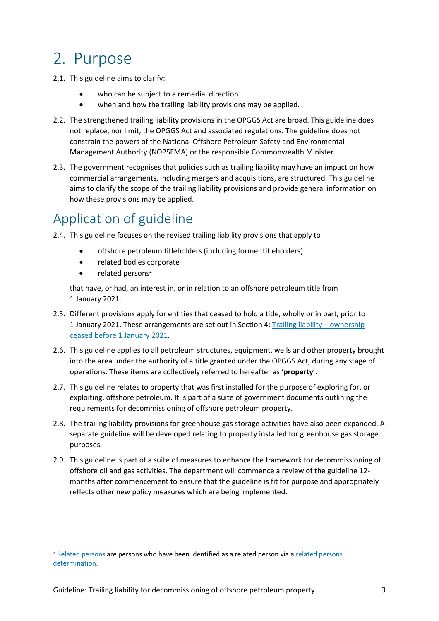# 2. Purpose

- 2.1. This guideline aims to clarify:
	- who can be subject to a remedial direction
	- when and how the trailing liability provisions may be applied.
- 2.2. The strengthened trailing liability provisions in the OPGGS Act are broad. This guideline does not replace, nor limit, the OPGGS Act and associated regulations. The guideline does not constrain the powers of the National Offshore Petroleum Safety and Environmental Management Authority (NOPSEMA) or the responsible Commonwealth Minister.
- 2.3. The government recognises that policies such as trailing liability may have an impact on how commercial arrangements, including mergers and acquisitions, are structured. This guideline aims to clarify the scope of the trailing liability provisions and provide general information on how these provisions may be applied.

## Application of guideline

- 2.4. This guideline focuses on the revised trailing liability provisions that apply to
	- offshore petroleum titleholders (including former titleholders)
	- related bodies corporate
	- related persons<sup>2</sup>

<u>.</u>

that have, or had, an interest in, or in relation to an offshore petroleum title from 1 January 2021.

- 2.5. Different provisions apply for entities that ceased to hold a title, wholly or in part, prior to 1 January 2021. These arrangements are set out in Section 4: [Trailing liability – ownership](#page-14-0)  [ceased before 1 January 2021.](#page-14-0)
- 2.6. This guideline applies to all petroleum structures, equipment, wells and other property brought into the area under the authority of a title granted under the OPGGS Act, during any stage of operations. These items are collectively referred to hereafter as '**property**'.
- 2.7. This guideline relates to property that was first installed for the purpose of exploring for, or exploiting, offshore petroleum. It is part of a suite of government documents outlining the requirements for decommissioning of offshore petroleum property.
- 2.8. The trailing liability provisions for greenhouse gas storage activities have also been expanded. A separate guideline will be developed relating to property installed for greenhouse gas storage purposes.
- <span id="page-3-0"></span>2.9. This guideline is part of a suite of measures to enhance the framework for decommissioning of offshore oil and gas activities. The department will commence a review of the guideline 12 months after commencement to ensure that the guideline is fit for purpose and appropriately reflects other new policy measures which are being implemented.

<sup>&</sup>lt;sup>2</sup> [Related persons](#page-9-0) are persons who have been identified as a related person via a related persons [determination.](#page-10-0)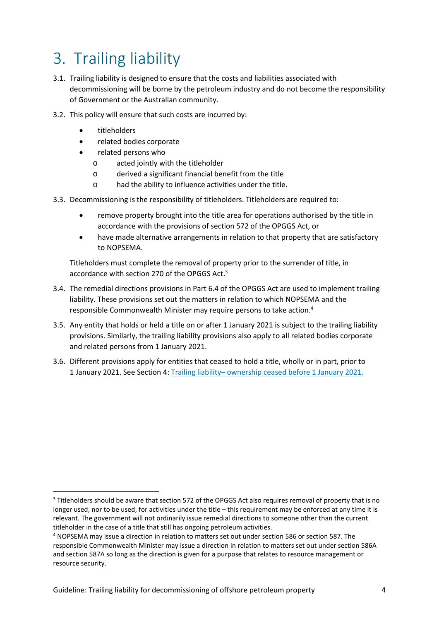# 3. Trailing liability

- 3.1. Trailing liability is designed to ensure that the costs and liabilities associated with decommissioning will be borne by the petroleum industry and do not become the responsibility of Government or the Australian community.
- 3.2. This policy will ensure that such costs are incurred by:
	- titleholders

 $\overline{\phantom{a}}$ 

- related bodies corporate
- related persons who
	- o acted jointly with the titleholder
	- o derived a significant financial benefit from the title
	- o had the ability to influence activities under the title.
- 3.3. Decommissioning is the responsibility of titleholders. Titleholders are required to:
	- remove property brought into the title area for operations authorised by the title in accordance with the provisions of section 572 of the OPGGS Act, or
	- have made alternative arrangements in relation to that property that are satisfactory to NOPSEMA.

Titleholders must complete the removal of property prior to the surrender of title, in accordance with section 270 of the OPGGS Act.<sup>3</sup>

- 3.4. The remedial directions provisions in Part 6.4 of the OPGGS Act are used to implement trailing liability. These provisions set out the matters in relation to which NOPSEMA and the responsible Commonwealth Minister may require persons to take action.<sup>4</sup>
- 3.5. Any entity that holds or held a title on or after 1 January 2021 is subject to the trailing liability provisions. Similarly, the trailing liability provisions also apply to all related bodies corporate and related persons from 1 January 2021.
- 3.6. Different provisions apply for entities that ceased to hold a title, wholly or in part, prior to 1 January 2021. See Section 4: [Trailing liability– ownership ceased before 1 January 2021.](#page-14-0)

<sup>&</sup>lt;sup>3</sup> Titleholders should be aware that section 572 of the OPGGS Act also requires removal of property that is no longer used, nor to be used, for activities under the title – this requirement may be enforced at any time it is relevant. The government will not ordinarily issue remedial directions to someone other than the current titleholder in the case of a title that still has ongoing petroleum activities.

<sup>&</sup>lt;sup>4</sup> NOPSEMA may issue a direction in relation to matters set out under section 586 or section 587. The responsible Commonwealth Minister may issue a direction in relation to matters set out under section 586A and section 587A so long as the direction is given for a purpose that relates to resource management or resource security.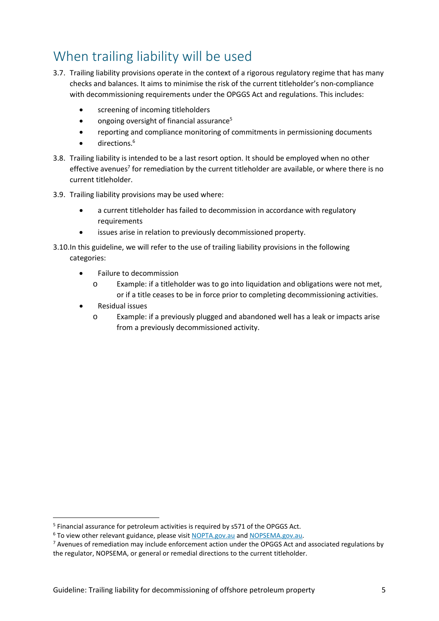## When trailing liability will be used

- 3.7. Trailing liability provisions operate in the context of a rigorous regulatory regime that has many checks and balances. It aims to minimise the risk of the current titleholder's non-compliance with decommissioning requirements under the OPGGS Act and regulations. This includes:
	- screening of incoming titleholders
	- **•** ongoing oversight of financial assurance<sup>5</sup>
	- reporting and compliance monitoring of commitments in permissioning documents
	- directions.<sup>6</sup>
- 3.8. Trailing liability is intended to be a last resort option. It should be employed when no other effective avenues<sup>7</sup> for remediation by the current titleholder are available, or where there is no current titleholder.
- 3.9. Trailing liability provisions may be used where:
	- a current titleholder has failed to decommission in accordance with regulatory requirements
	- issues arise in relation to previously decommissioned property.
- 3.10.In this guideline, we will refer to the use of trailing liability provisions in the following categories:
	- Failure to decommission
		- o Example: if a titleholder was to go into liquidation and obligations were not met, or if a title ceases to be in force prior to completing decommissioning activities.
	- Residual issues

<u>.</u>

o Example: if a previously plugged and abandoned well has a leak or impacts arise from a previously decommissioned activity.

<sup>&</sup>lt;sup>5</sup> Financial assurance for petroleum activities is required by s571 of the OPGGS Act.

<sup>&</sup>lt;sup>6</sup> To view other relevant guidance, please visit [NOPTA.gov.au a](https://www.nopta.gov.au/guidelines-and-factsheets/index.html)n[d NOPSEMA.gov.au.](https://www.nopsema.gov.au/document-hub)

<sup>&</sup>lt;sup>7</sup> Avenues of remediation may include enforcement action under the OPGGS Act and associated regulations by the regulator, NOPSEMA, or general or remedial directions to the current titleholder.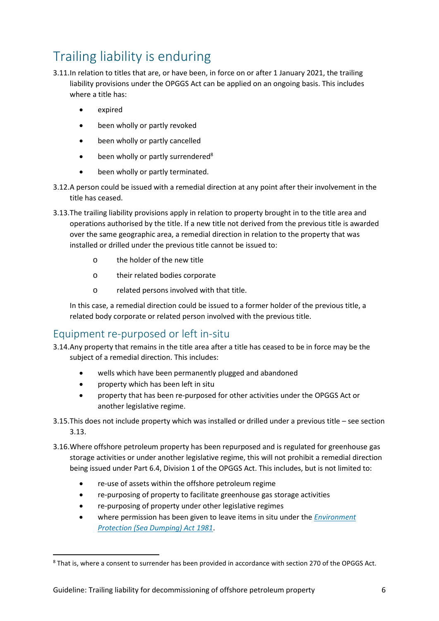## Trailing liability is enduring

- 3.11.In relation to titles that are, or have been, in force on or after 1 January 2021, the trailing liability provisions under the OPGGS Act can be applied on an ongoing basis. This includes where a title has:
	- expired
	- been wholly or partly revoked
	- been wholly or partly cancelled
	- $\bullet$  been wholly or partly surrendered<sup>8</sup>
	- been wholly or partly terminated.
- 3.12.A person could be issued with a remedial direction at any point after their involvement in the title has ceased.
- 3.13.The trailing liability provisions apply in relation to property brought in to the title area and operations authorised by the title. If a new title not derived from the previous title is awarded over the same geographic area, a remedial direction in relation to the property that was installed or drilled under the previous title cannot be issued to:
	- o the holder of the new title
	- o their related bodies corporate
	- o related persons involved with that title.

In this case, a remedial direction could be issued to a former holder of the previous title, a related body corporate or related person involved with the previous title.

#### Equipment re-purposed or left in-situ

- 3.14.Any property that remains in the title area after a title has ceased to be in force may be the subject of a remedial direction. This includes:
	- wells which have been permanently plugged and abandoned
	- property which has been left in situ

- property that has been re-purposed for other activities under the OPGGS Act or another legislative regime.
- 3.15.This does not include property which was installed or drilled under a previous title see section 3.13.
- 3.16.Where offshore petroleum property has been repurposed and is regulated for greenhouse gas storage activities or under another legislative regime, this will not prohibit a remedial direction being issued under Part 6.4, Division 1 of the OPGGS Act. This includes, but is not limited to:
	- re-use of assets within the offshore petroleum regime
	- re-purposing of property to facilitate greenhouse gas storage activities
	- re-purposing of property under other legislative regimes
	- where permission has been given to leave items in situ under the *[Environment](https://www.awe.gov.au/environment/marine/marine-pollution/sea-dumping/sea-dumping-permits)  [Protection \(Sea Dumping\) Act 1981](https://www.awe.gov.au/environment/marine/marine-pollution/sea-dumping/sea-dumping-permits)*.

<sup>&</sup>lt;sup>8</sup> That is, where a consent to surrender has been provided in accordance with section 270 of the OPGGS Act.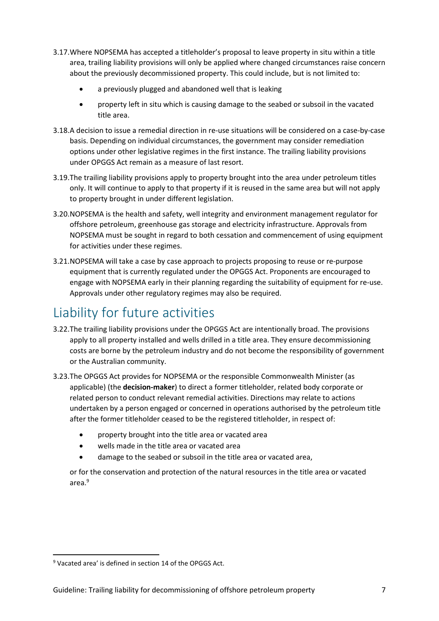- 3.17.Where NOPSEMA has accepted a titleholder's proposal to leave property in situ within a title area, trailing liability provisions will only be applied where changed circumstances raise concern about the previously decommissioned property. This could include, but is not limited to:
	- a previously plugged and abandoned well that is leaking
	- property left in situ which is causing damage to the seabed or subsoil in the vacated title area.
- 3.18.A decision to issue a remedial direction in re-use situations will be considered on a case-by-case basis. Depending on individual circumstances, the government may consider remediation options under other legislative regimes in the first instance. The trailing liability provisions under OPGGS Act remain as a measure of last resort.
- 3.19.The trailing liability provisions apply to property brought into the area under petroleum titles only. It will continue to apply to that property if it is reused in the same area but will not apply to property brought in under different legislation.
- 3.20.NOPSEMA is the health and safety, well integrity and environment management regulator for offshore petroleum, greenhouse gas storage and electricity infrastructure. Approvals from NOPSEMA must be sought in regard to both cessation and commencement of using equipment for activities under these regimes.
- 3.21.NOPSEMA will take a case by case approach to projects proposing to reuse or re-purpose equipment that is currently regulated under the OPGGS Act. Proponents are encouraged to engage with NOPSEMA early in their planning regarding the suitability of equipment for re-use. Approvals under other regulatory regimes may also be required.

## Liability for future activities

- 3.22.The trailing liability provisions under the OPGGS Act are intentionally broad. The provisions apply to all property installed and wells drilled in a title area. They ensure decommissioning costs are borne by the petroleum industry and do not become the responsibility of government or the Australian community.
- 3.23.The OPGGS Act provides for NOPSEMA or the responsible Commonwealth Minister (as applicable) (the **decision-maker**) to direct a former titleholder, related body corporate or related person to conduct relevant remedial activities. Directions may relate to actions undertaken by a person engaged or concerned in operations authorised by the petroleum title after the former titleholder ceased to be the registered titleholder, in respect of:
	- property brought into the title area or vacated area
	- wells made in the title area or vacated area
	- damage to the seabed or subsoil in the title area or vacated area,

or for the conservation and protection of the natural resources in the title area or vacated area.<sup>9</sup>

<sup>&</sup>lt;sup>9</sup> Vacated area' is defined in section 14 of the OPGGS Act.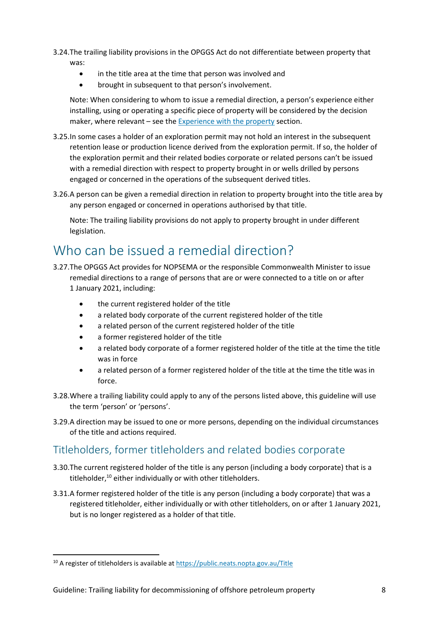- 3.24.The trailing liability provisions in the OPGGS Act do not differentiate between property that was:
	- in the title area at the time that person was involved and
	- brought in subsequent to that person's involvement.

Note: When considering to whom to issue a remedial direction, a person's experience either installing, using or operating a specific piece of property will be considered by the decision maker, where relevant – see the [Experience with the property s](#page-11-0)ection.

- 3.25.In some cases a holder of an exploration permit may not hold an interest in the subsequent retention lease or production licence derived from the exploration permit. If so, the holder of the exploration permit and their related bodies corporate or related persons can't be issued with a remedial direction with respect to property brought in or wells drilled by persons engaged or concerned in the operations of the subsequent derived titles.
- 3.26.A person can be given a remedial direction in relation to property brought into the title area by any person engaged or concerned in operations authorised by that title.

Note: The trailing liability provisions do not apply to property brought in under different legislation.

## Who can be issued a remedial direction?

- 3.27.The OPGGS Act provides for NOPSEMA or the responsible Commonwealth Minister to issue remedial directions to a range of persons that are or were connected to a title on or after 1 January 2021, including:
	- the current registered holder of the title
	- a related body corporate of the current registered holder of the title
	- a related person of the current registered holder of the title
	- a former registered holder of the title
	- a related body corporate of a former registered holder of the title at the time the title was in force
	- a related person of a former registered holder of the title at the time the title was in force.
- 3.28.Where a trailing liability could apply to any of the persons listed above, this guideline will use the term 'person' or 'persons'.
- 3.29.A direction may be issued to one or more persons, depending on the individual circumstances of the title and actions required.

### Titleholders, former titleholders and related bodies corporate

- 3.30.The current registered holder of the title is any person (including a body corporate) that is a titleholder,<sup>10</sup> either individually or with other titleholders.
- 3.31.A former registered holder of the title is any person (including a body corporate) that was a registered titleholder, either individually or with other titleholders, on or after 1 January 2021, but is no longer registered as a holder of that title.

<sup>10</sup> A register of titleholders is available at<https://public.neats.nopta.gov.au/Title>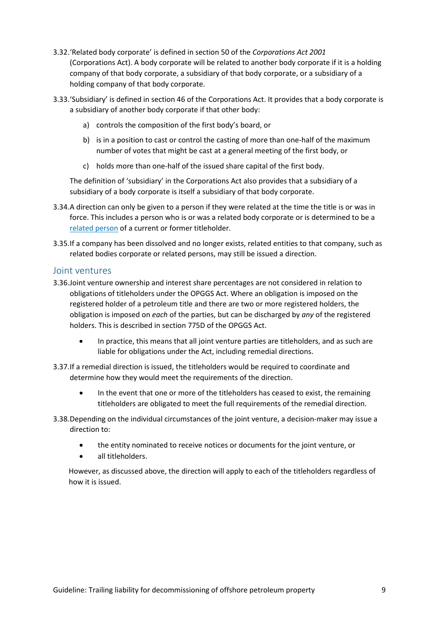- 3.32.'Related body corporate' is defined in section 50 of the *Corporations Act 2001*  (Corporations Act). A body corporate will be related to another body corporate if it is a holding company of that body corporate, a subsidiary of that body corporate, or a subsidiary of a holding company of that body corporate.
- 3.33.'Subsidiary' is defined in section 46 of the Corporations Act. It provides that a body corporate is a subsidiary of another body corporate if that other body:
	- a) controls the composition of the first body's board, or
	- b) is in a position to cast or control the casting of more than one-half of the maximum number of votes that might be cast at a general meeting of the first body, or
	- c) holds more than one-half of the issued share capital of the first body.

The definition of 'subsidiary' in the Corporations Act also provides that a subsidiary of a subsidiary of a body corporate is itself a subsidiary of that body corporate.

- 3.34.A direction can only be given to a person if they were related at the time the title is or was in force. This includes a person who is or was a related body corporate or is determined to be a [related person](#page-9-0) of a current or former titleholder.
- 3.35.If a company has been dissolved and no longer exists, related entities to that company, such as related bodies corporate or related persons, may still be issued a direction.

#### Joint ventures

- 3.36.Joint venture ownership and interest share percentages are not considered in relation to obligations of titleholders under the OPGGS Act. Where an obligation is imposed on the registered holder of a petroleum title and there are two or more registered holders, the obligation is imposed on *each* of the parties, but can be discharged by *any* of the registered holders. This is described in section 775D of the OPGGS Act.
	- In practice, this means that all joint venture parties are titleholders, and as such are liable for obligations under the Act, including remedial directions.
- 3.37.If a remedial direction is issued, the titleholders would be required to coordinate and determine how they would meet the requirements of the direction.
	- In the event that one or more of the titleholders has ceased to exist, the remaining titleholders are obligated to meet the full requirements of the remedial direction.
- 3.38.Depending on the individual circumstances of the joint venture, a decision-maker may issue a direction to:
	- the entity nominated to receive notices or documents for the joint venture, or
	- all titleholders.

<span id="page-9-0"></span>However, as discussed above, the direction will apply to each of the titleholders regardless of how it is issued.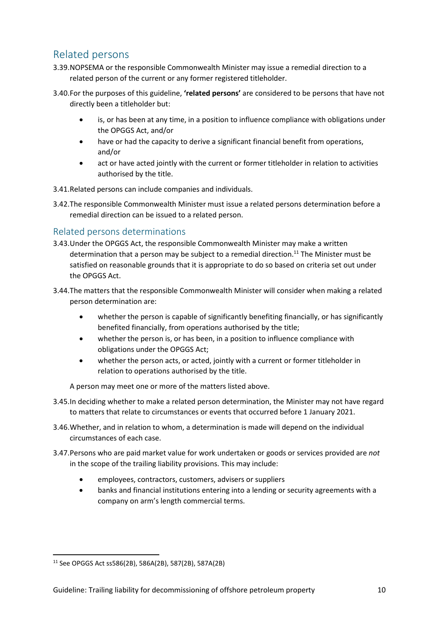### Related persons

- 3.39.NOPSEMA or the responsible Commonwealth Minister may issue a remedial direction to a related person of the current or any former registered titleholder.
- 3.40.For the purposes of this guideline, **'related persons'** are considered to be persons that have not directly been a titleholder but:
	- is, or has been at any time, in a position to influence compliance with obligations under the OPGGS Act, and/or
	- have or had the capacity to derive a significant financial benefit from operations, and/or
	- act or have acted jointly with the current or former titleholder in relation to activities authorised by the title.
- 3.41.Related persons can include companies and individuals.
- 3.42.The responsible Commonwealth Minister must issue a related persons determination before a remedial direction can be issued to a related person.

#### <span id="page-10-0"></span>Related persons determinations

- 3.43.Under the OPGGS Act, the responsible Commonwealth Minister may make a written determination that a person may be subject to a remedial direction.<sup>11</sup> The Minister must be satisfied on reasonable grounds that it is appropriate to do so based on criteria set out under the OPGGS Act.
- 3.44.The matters that the responsible Commonwealth Minister will consider when making a related person determination are:
	- whether the person is capable of significantly benefiting financially, or has significantly benefited financially, from operations authorised by the title;
	- whether the person is, or has been, in a position to influence compliance with obligations under the OPGGS Act;
	- whether the person acts, or acted, jointly with a current or former titleholder in relation to operations authorised by the title.

A person may meet one or more of the matters listed above.

- 3.45.In deciding whether to make a related person determination, the Minister may not have regard to matters that relate to circumstances or events that occurred before 1 January 2021.
- 3.46.Whether, and in relation to whom, a determination is made will depend on the individual circumstances of each case.
- 3.47.Persons who are paid market value for work undertaken or goods or services provided are *not* in the scope of the trailing liability provisions. This may include:
	- employees, contractors, customers, advisers or suppliers
	- banks and financial institutions entering into a lending or security agreements with a company on arm's length commercial terms.

<sup>11</sup> See OPGGS Act ss586(2B), 586A(2B), 587(2B), 587A(2B)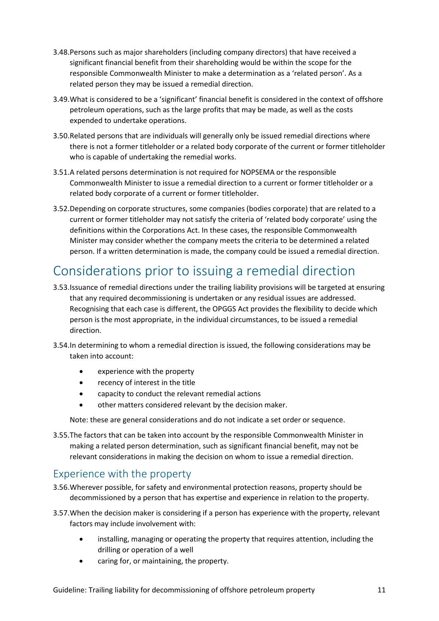- 3.48.Persons such as major shareholders (including company directors) that have received a significant financial benefit from their shareholding would be within the scope for the responsible Commonwealth Minister to make a determination as a 'related person'. As a related person they may be issued a remedial direction.
- 3.49.What is considered to be a 'significant' financial benefit is considered in the context of offshore petroleum operations, such as the large profits that may be made, as well as the costs expended to undertake operations.
- 3.50.Related persons that are individuals will generally only be issued remedial directions where there is not a former titleholder or a related body corporate of the current or former titleholder who is capable of undertaking the remedial works.
- 3.51.A related persons determination is not required for NOPSEMA or the responsible Commonwealth Minister to issue a remedial direction to a current or former titleholder or a related body corporate of a current or former titleholder.
- 3.52.Depending on corporate structures, some companies (bodies corporate) that are related to a current or former titleholder may not satisfy the criteria of 'related body corporate' using the definitions within the Corporations Act. In these cases, the responsible Commonwealth Minister may consider whether the company meets the criteria to be determined a related person. If a written determination is made, the company could be issued a remedial direction.

## Considerations prior to issuing a remedial direction

- 3.53.Issuance of remedial directions under the trailing liability provisions will be targeted at ensuring that any required decommissioning is undertaken or any residual issues are addressed. Recognising that each case is different, the OPGGS Act provides the flexibility to decide which person is the most appropriate, in the individual circumstances, to be issued a remedial direction.
- 3.54.In determining to whom a remedial direction is issued, the following considerations may be taken into account:
	- experience with the property
	- recency of interest in the title
	- capacity to conduct the relevant remedial actions
	- other matters considered relevant by the decision maker.

Note: these are general considerations and do not indicate a set order or sequence.

3.55.The factors that can be taken into account by the responsible Commonwealth Minister in making a related person determination, such as significant financial benefit, may not be relevant considerations in making the decision on whom to issue a remedial direction.

### <span id="page-11-0"></span>Experience with the property

- 3.56.Wherever possible, for safety and environmental protection reasons, property should be decommissioned by a person that has expertise and experience in relation to the property.
- 3.57.When the decision maker is considering if a person has experience with the property, relevant factors may include involvement with:
	- installing, managing or operating the property that requires attention, including the drilling or operation of a well
	- caring for, or maintaining, the property.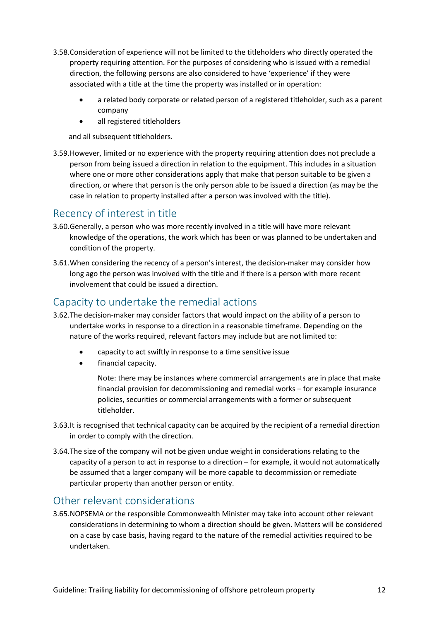- 3.58.Consideration of experience will not be limited to the titleholders who directly operated the property requiring attention. For the purposes of considering who is issued with a remedial direction, the following persons are also considered to have 'experience' if they were associated with a title at the time the property was installed or in operation:
	- a related body corporate or related person of a registered titleholder, such as a parent company
	- all registered titleholders

and all subsequent titleholders.

3.59.However, limited or no experience with the property requiring attention does not preclude a person from being issued a direction in relation to the equipment. This includes in a situation where one or more other considerations apply that make that person suitable to be given a direction, or where that person is the only person able to be issued a direction (as may be the case in relation to property installed after a person was involved with the title).

### Recency of interest in title

- 3.60.Generally, a person who was more recently involved in a title will have more relevant knowledge of the operations, the work which has been or was planned to be undertaken and condition of the property.
- 3.61.When considering the recency of a person's interest, the decision-maker may consider how long ago the person was involved with the title and if there is a person with more recent involvement that could be issued a direction.

### Capacity to undertake the remedial actions

- 3.62.The decision-maker may consider factors that would impact on the ability of a person to undertake works in response to a direction in a reasonable timeframe. Depending on the nature of the works required, relevant factors may include but are not limited to:
	- capacity to act swiftly in response to a time sensitive issue
	- financial capacity.

Note: there may be instances where commercial arrangements are in place that make financial provision for decommissioning and remedial works – for example insurance policies, securities or commercial arrangements with a former or subsequent titleholder.

- 3.63.It is recognised that technical capacity can be acquired by the recipient of a remedial direction in order to comply with the direction.
- 3.64.The size of the company will not be given undue weight in considerations relating to the capacity of a person to act in response to a direction – for example, it would not automatically be assumed that a larger company will be more capable to decommission or remediate particular property than another person or entity.

### Other relevant considerations

3.65.NOPSEMA or the responsible Commonwealth Minister may take into account other relevant considerations in determining to whom a direction should be given. Matters will be considered on a case by case basis, having regard to the nature of the remedial activities required to be undertaken.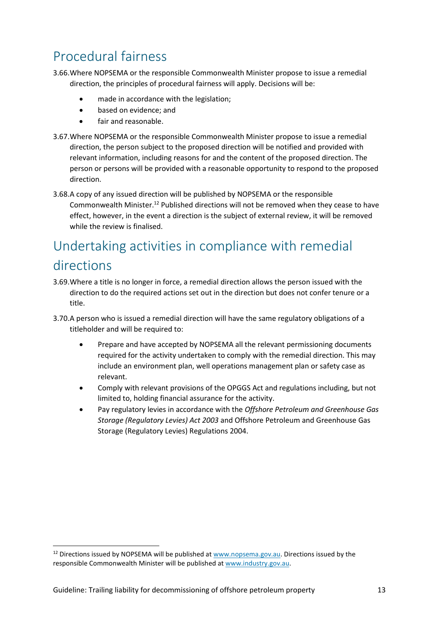## Procedural fairness

- 3.66.Where NOPSEMA or the responsible Commonwealth Minister propose to issue a remedial direction, the principles of procedural fairness will apply. Decisions will be:
	- made in accordance with the legislation;
	- based on evidence; and
	- fair and reasonable.
- 3.67.Where NOPSEMA or the responsible Commonwealth Minister propose to issue a remedial direction, the person subject to the proposed direction will be notified and provided with relevant information, including reasons for and the content of the proposed direction. The person or persons will be provided with a reasonable opportunity to respond to the proposed direction.
- 3.68.A copy of any issued direction will be published by NOPSEMA or the responsible Commonwealth Minister.<sup>12</sup> Published directions will not be removed when they cease to have effect, however, in the event a direction is the subject of external review, it will be removed while the review is finalised.

## Undertaking activities in compliance with remedial directions

- 3.69.Where a title is no longer in force, a remedial direction allows the person issued with the direction to do the required actions set out in the direction but does not confer tenure or a title.
- 3.70.A person who is issued a remedial direction will have the same regulatory obligations of a titleholder and will be required to:
	- Prepare and have accepted by NOPSEMA all the relevant permissioning documents required for the activity undertaken to comply with the remedial direction. This may include an environment plan, well operations management plan or safety case as relevant.
	- Comply with relevant provisions of the OPGGS Act and regulations including, but not limited to, holding financial assurance for the activity.
	- Pay regulatory levies in accordance with the *Offshore Petroleum and Greenhouse Gas Storage (Regulatory Levies) Act 2003* and Offshore Petroleum and Greenhouse Gas Storage (Regulatory Levies) Regulations 2004.

<u>.</u>

 $12$  Directions issued by NOPSEMA will be published a[t www.nopsema.gov.au.](http://www.nopsema.gov.au/) Directions issued by the responsible Commonwealth Minister will be published at [www.industry.gov.au.](http://www.industry.gov.au/)